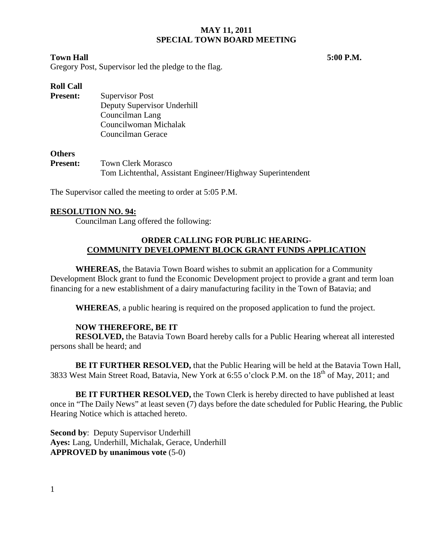## **MAY 11, 2011 SPECIAL TOWN BOARD MEETING**

## **Town Hall 5:00 P.M.**

Gregory Post, Supervisor led the pledge to the flag.

# **Roll Call**

**Present:** Supervisor Post Deputy Supervisor Underhill Councilman Lang Councilwoman Michalak Councilman Gerace

### **Others**

**Present:** Town Clerk Morasco Tom Lichtenthal, Assistant Engineer/Highway Superintendent

The Supervisor called the meeting to order at 5:05 P.M.

# **RESOLUTION NO. 94:**

Councilman Lang offered the following:

## **ORDER CALLING FOR PUBLIC HEARING-COMMUNITY DEVELOPMENT BLOCK GRANT FUNDS APPLICATION**

**WHEREAS,** the Batavia Town Board wishes to submit an application for a Community Development Block grant to fund the Economic Development project to provide a grant and term loan financing for a new establishment of a dairy manufacturing facility in the Town of Batavia; and

**WHEREAS**, a public hearing is required on the proposed application to fund the project.

## **NOW THEREFORE, BE IT**

**RESOLVED,** the Batavia Town Board hereby calls for a Public Hearing whereat all interested persons shall be heard; and

**BE IT FURTHER RESOLVED,** that the Public Hearing will be held at the Batavia Town Hall, 3833 West Main Street Road, Batavia, New York at 6:55 o'clock P.M. on the 18<sup>th</sup> of May, 2011; and

**BE IT FURTHER RESOLVED,** the Town Clerk is hereby directed to have published at least once in "The Daily News" at least seven (7) days before the date scheduled for Public Hearing, the Public Hearing Notice which is attached hereto.

**Second by**: Deputy Supervisor Underhill **Ayes:** Lang, Underhill, Michalak, Gerace, Underhill **APPROVED by unanimous vote** (5-0)